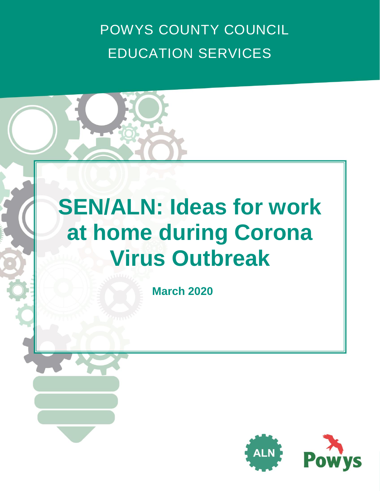POWYS COUNTY COUNCIL EDUCATION SERVICES

# **SEN/ALN: Ideas for work at home during Corona Virus Outbreak**

**March 2020**

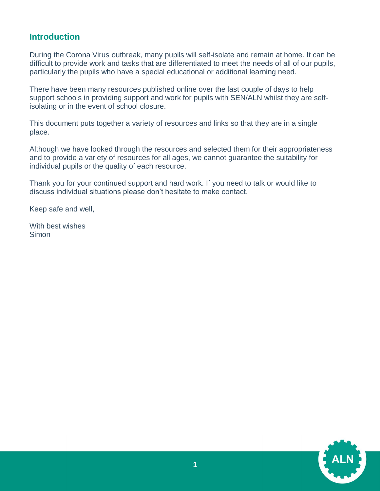# **Introduction**

During the Corona Virus outbreak, many pupils will self-isolate and remain at home. It can be difficult to provide work and tasks that are differentiated to meet the needs of all of our pupils, particularly the pupils who have a special educational or additional learning need.

There have been many resources published online over the last couple of days to help support schools in providing support and work for pupils with SEN/ALN whilst they are selfisolating or in the event of school closure.

This document puts together a variety of resources and links so that they are in a single place.

Although we have looked through the resources and selected them for their appropriateness and to provide a variety of resources for all ages, we cannot guarantee the suitability for individual pupils or the quality of each resource.

Thank you for your continued support and hard work. If you need to talk or would like to discuss individual situations please don't hesitate to make contact.

Keep safe and well,

With best wishes Simon

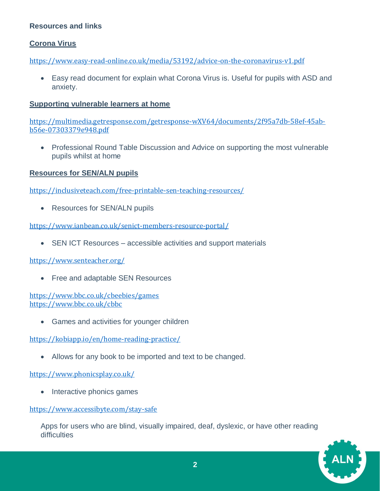# **Resources and links**

# **Corona Virus**

<https://www.easy-read-online.co.uk/media/53192/advice-on-the-coronavirus-v1.pdf>

 Easy read document for explain what Corona Virus is. Useful for pupils with ASD and anxiety.

#### **Supporting vulnerable learners at home**

[https://multimedia.getresponse.com/getresponse-wXV64/documents/2f95a7db-58ef-45ab](https://multimedia.getresponse.com/getresponse-wXV64/documents/2f95a7db-58ef-45ab-b56e-07303379e948.pdf)[b56e-07303379e948.pdf](https://multimedia.getresponse.com/getresponse-wXV64/documents/2f95a7db-58ef-45ab-b56e-07303379e948.pdf)

• Professional Round Table Discussion and Advice on supporting the most vulnerable pupils whilst at home

# **Resources for SEN/ALN pupils**

<https://inclusiveteach.com/free-printable-sen-teaching-resources/>

• Resources for SEN/ALN pupils

<https://www.ianbean.co.uk/senict-members-resource-portal/>

• SEN ICT Resources – accessible activities and support materials

<https://www.senteacher.org/>

• Free and adaptable SEN Resources

<https://www.bbc.co.uk/cbeebies/games> <https://www.bbc.co.uk/cbbc>

Games and activities for younger children

<https://kobiapp.io/en/home-reading-practice/>

• Allows for any book to be imported and text to be changed.

<https://www.phonicsplay.co.uk/>

• Interactive phonics games

<https://www.accessibyte.com/stay-safe>

Apps for users who are blind, visually impaired, deaf, dyslexic, or have other reading difficulties